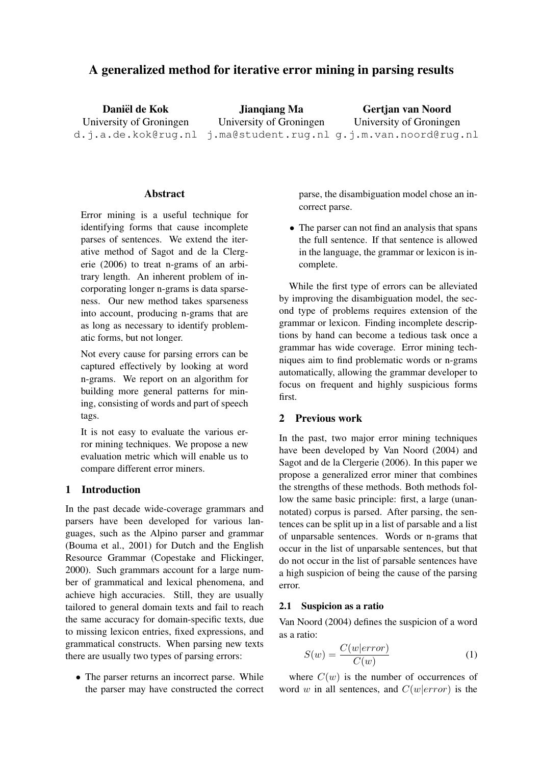# A generalized method for iterative error mining in parsing results

Daniël de Kok University of Groningen d.j.a.de.kok@rug.nl j.ma@student.rug.nl g.j.m.van.noord@rug.nl Jianqiang Ma University of Groningen Gertjan van Noord University of Groningen

### Abstract

Error mining is a useful technique for identifying forms that cause incomplete parses of sentences. We extend the iterative method of Sagot and de la Clergerie (2006) to treat n-grams of an arbitrary length. An inherent problem of incorporating longer n-grams is data sparseness. Our new method takes sparseness into account, producing n-grams that are as long as necessary to identify problematic forms, but not longer.

Not every cause for parsing errors can be captured effectively by looking at word n-grams. We report on an algorithm for building more general patterns for mining, consisting of words and part of speech tags.

It is not easy to evaluate the various error mining techniques. We propose a new evaluation metric which will enable us to compare different error miners.

### 1 Introduction

In the past decade wide-coverage grammars and parsers have been developed for various languages, such as the Alpino parser and grammar (Bouma et al., 2001) for Dutch and the English Resource Grammar (Copestake and Flickinger, 2000). Such grammars account for a large number of grammatical and lexical phenomena, and achieve high accuracies. Still, they are usually tailored to general domain texts and fail to reach the same accuracy for domain-specific texts, due to missing lexicon entries, fixed expressions, and grammatical constructs. When parsing new texts there are usually two types of parsing errors:

• The parser returns an incorrect parse. While the parser may have constructed the correct parse, the disambiguation model chose an incorrect parse.

• The parser can not find an analysis that spans the full sentence. If that sentence is allowed in the language, the grammar or lexicon is incomplete.

While the first type of errors can be alleviated by improving the disambiguation model, the second type of problems requires extension of the grammar or lexicon. Finding incomplete descriptions by hand can become a tedious task once a grammar has wide coverage. Error mining techniques aim to find problematic words or n-grams automatically, allowing the grammar developer to focus on frequent and highly suspicious forms first.

# 2 Previous work

In the past, two major error mining techniques have been developed by Van Noord (2004) and Sagot and de la Clergerie (2006). In this paper we propose a generalized error miner that combines the strengths of these methods. Both methods follow the same basic principle: first, a large (unannotated) corpus is parsed. After parsing, the sentences can be split up in a list of parsable and a list of unparsable sentences. Words or n-grams that occur in the list of unparsable sentences, but that do not occur in the list of parsable sentences have a high suspicion of being the cause of the parsing error.

#### 2.1 Suspicion as a ratio

Van Noord (2004) defines the suspicion of a word as a ratio:

$$
S(w) = \frac{C(w|error)}{C(w)}\tag{1}
$$

where  $C(w)$  is the number of occurrences of word w in all sentences, and  $C(w|error)$  is the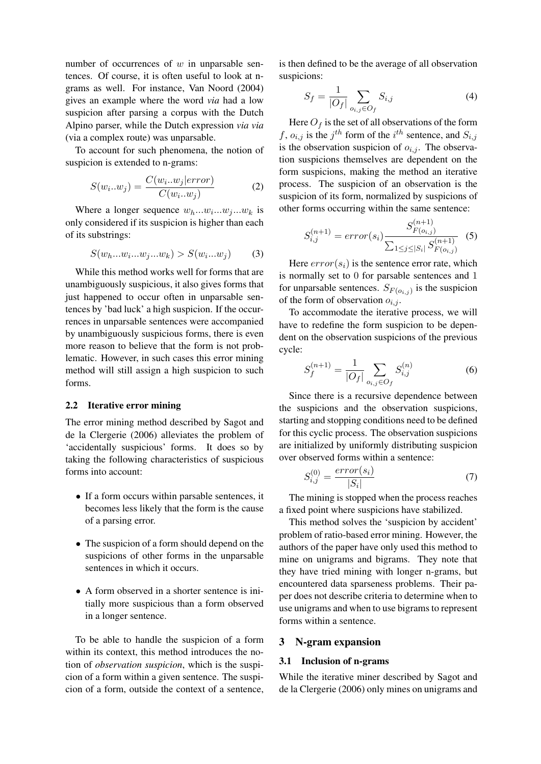number of occurrences of  $w$  in unparsable sentences. Of course, it is often useful to look at ngrams as well. For instance, Van Noord (2004) gives an example where the word *via* had a low suspicion after parsing a corpus with the Dutch Alpino parser, while the Dutch expression *via via* (via a complex route) was unparsable.

To account for such phenomena, the notion of suspicion is extended to n-grams:

$$
S(w_i...w_j) = \frac{C(w_i...w_j|error)}{C(w_i...w_j)}
$$
 (2)

Where a longer sequence  $w_h...w_i...w_j...w_k$  is only considered if its suspicion is higher than each of its substrings:

$$
S(w_h...w_i...w_j...w_k) > S(w_i...w_j)
$$
 (3)

While this method works well for forms that are unambiguously suspicious, it also gives forms that just happened to occur often in unparsable sentences by 'bad luck' a high suspicion. If the occurrences in unparsable sentences were accompanied by unambiguously suspicious forms, there is even more reason to believe that the form is not problematic. However, in such cases this error mining method will still assign a high suspicion to such forms.

### 2.2 Iterative error mining

The error mining method described by Sagot and de la Clergerie (2006) alleviates the problem of 'accidentally suspicious' forms. It does so by taking the following characteristics of suspicious forms into account:

- If a form occurs within parsable sentences, it becomes less likely that the form is the cause of a parsing error.
- The suspicion of a form should depend on the suspicions of other forms in the unparsable sentences in which it occurs.
- A form observed in a shorter sentence is initially more suspicious than a form observed in a longer sentence.

To be able to handle the suspicion of a form within its context, this method introduces the notion of *observation suspicion*, which is the suspicion of a form within a given sentence. The suspicion of a form, outside the context of a sentence,

is then defined to be the average of all observation suspicions:

$$
S_f = \frac{1}{|O_f|} \sum_{o_{i,j} \in O_f} S_{i,j} \tag{4}
$$

Here  $O_f$  is the set of all observations of the form f,  $o_{i,j}$  is the j<sup>th</sup> form of the i<sup>th</sup> sentence, and  $S_{i,j}$ is the observation suspicion of  $o_{i,j}$ . The observation suspicions themselves are dependent on the form suspicions, making the method an iterative process. The suspicion of an observation is the suspicion of its form, normalized by suspicions of other forms occurring within the same sentence:

$$
S_{i,j}^{(n+1)} = error(s_i) \frac{S_{F(o_{i,j})}^{(n+1)}}{\sum_{1 \le j \le |S_i|} S_{F(o_{i,j})}^{(n+1)}} \tag{5}
$$

Here  $error(s_i)$  is the sentence error rate, which is normally set to 0 for parsable sentences and 1 for unparsable sentences.  $S_{F(o_{i,j})}$  is the suspicion of the form of observation  $o_{i,j}$ .

To accommodate the iterative process, we will have to redefine the form suspicion to be dependent on the observation suspicions of the previous cycle:

$$
S_f^{(n+1)} = \frac{1}{|O_f|} \sum_{o_{i,j} \in O_f} S_{i,j}^{(n)} \tag{6}
$$

Since there is a recursive dependence between the suspicions and the observation suspicions, starting and stopping conditions need to be defined for this cyclic process. The observation suspicions are initialized by uniformly distributing suspicion over observed forms within a sentence:

$$
S_{i,j}^{(0)} = \frac{error(s_i)}{|S_i|} \tag{7}
$$

The mining is stopped when the process reaches a fixed point where suspicions have stabilized.

This method solves the 'suspicion by accident' problem of ratio-based error mining. However, the authors of the paper have only used this method to mine on unigrams and bigrams. They note that they have tried mining with longer n-grams, but encountered data sparseness problems. Their paper does not describe criteria to determine when to use unigrams and when to use bigrams to represent forms within a sentence.

#### 3 N-gram expansion

#### 3.1 Inclusion of n-grams

While the iterative miner described by Sagot and de la Clergerie (2006) only mines on unigrams and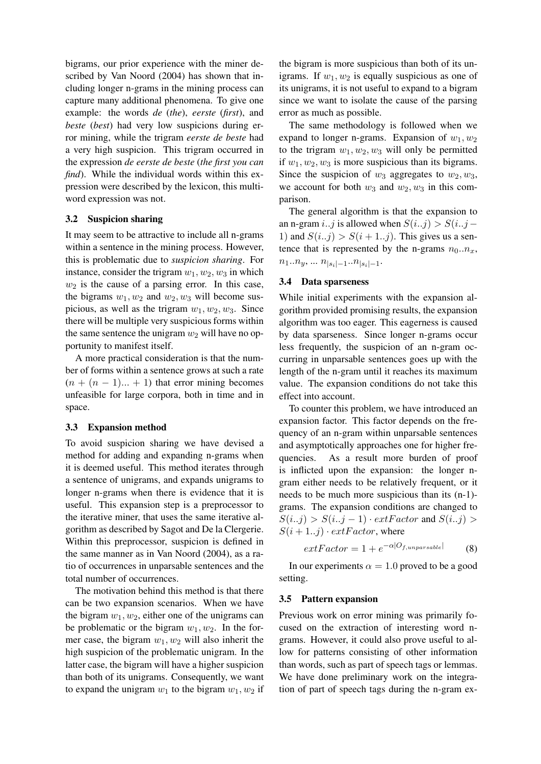bigrams, our prior experience with the miner described by Van Noord (2004) has shown that including longer n-grams in the mining process can capture many additional phenomena. To give one example: the words *de* (*the*), *eerste* (*first*), and *beste* (*best*) had very low suspicions during error mining, while the trigram *eerste de beste* had a very high suspicion. This trigram occurred in the expression *de eerste de beste* (*the first you can find*). While the individual words within this expression were described by the lexicon, this multiword expression was not.

#### 3.2 Suspicion sharing

It may seem to be attractive to include all n-grams within a sentence in the mining process. However, this is problematic due to *suspicion sharing*. For instance, consider the trigram  $w_1, w_2, w_3$  in which  $w_2$  is the cause of a parsing error. In this case, the bigrams  $w_1, w_2$  and  $w_2, w_3$  will become suspicious, as well as the trigram  $w_1, w_2, w_3$ . Since there will be multiple very suspicious forms within the same sentence the unigram  $w_2$  will have no opportunity to manifest itself.

A more practical consideration is that the number of forms within a sentence grows at such a rate  $(n + (n - 1)... + 1)$  that error mining becomes unfeasible for large corpora, both in time and in space.

### 3.3 Expansion method

To avoid suspicion sharing we have devised a method for adding and expanding n-grams when it is deemed useful. This method iterates through a sentence of unigrams, and expands unigrams to longer n-grams when there is evidence that it is useful. This expansion step is a preprocessor to the iterative miner, that uses the same iterative algorithm as described by Sagot and De la Clergerie. Within this preprocessor, suspicion is defined in the same manner as in Van Noord (2004), as a ratio of occurrences in unparsable sentences and the total number of occurrences.

The motivation behind this method is that there can be two expansion scenarios. When we have the bigram  $w_1, w_2$ , either one of the unigrams can be problematic or the bigram  $w_1, w_2$ . In the former case, the bigram  $w_1, w_2$  will also inherit the high suspicion of the problematic unigram. In the latter case, the bigram will have a higher suspicion than both of its unigrams. Consequently, we want to expand the unigram  $w_1$  to the bigram  $w_1, w_2$  if

the bigram is more suspicious than both of its unigrams. If  $w_1, w_2$  is equally suspicious as one of its unigrams, it is not useful to expand to a bigram since we want to isolate the cause of the parsing error as much as possible.

The same methodology is followed when we expand to longer n-grams. Expansion of  $w_1, w_2$ to the trigram  $w_1, w_2, w_3$  will only be permitted if  $w_1, w_2, w_3$  is more suspicious than its bigrams. Since the suspicion of  $w_3$  aggregates to  $w_2, w_3$ , we account for both  $w_3$  and  $w_2, w_3$  in this comparison.

The general algorithm is that the expansion to an n-gram *i..j* is allowed when  $S(i..j) > S(i..j-$ 1) and  $S(i..j) > S(i+1..j)$ . This gives us a sentence that is represented by the n-grams  $n_0 \nvert n_x$ ,  $n_1...n_y, ... n_{|s_i|-1}...n_{|s_i|-1}.$ 

### 3.4 Data sparseness

While initial experiments with the expansion algorithm provided promising results, the expansion algorithm was too eager. This eagerness is caused by data sparseness. Since longer n-grams occur less frequently, the suspicion of an n-gram occurring in unparsable sentences goes up with the length of the n-gram until it reaches its maximum value. The expansion conditions do not take this effect into account.

To counter this problem, we have introduced an expansion factor. This factor depends on the frequency of an n-gram within unparsable sentences and asymptotically approaches one for higher frequencies. As a result more burden of proof is inflicted upon the expansion: the longer ngram either needs to be relatively frequent, or it needs to be much more suspicious than its (n-1) grams. The expansion conditions are changed to  $S(i..j) > S(i..j-1) \cdot extFactor$  and  $S(i..j) >$  $S(i + 1..j) \cdot extFactor$ , where

$$
extFactor = 1 + e^{-\alpha|O_{f,unparse}} \tag{8}
$$

In our experiments  $\alpha = 1.0$  proved to be a good setting.

### 3.5 Pattern expansion

Previous work on error mining was primarily focused on the extraction of interesting word ngrams. However, it could also prove useful to allow for patterns consisting of other information than words, such as part of speech tags or lemmas. We have done preliminary work on the integration of part of speech tags during the n-gram ex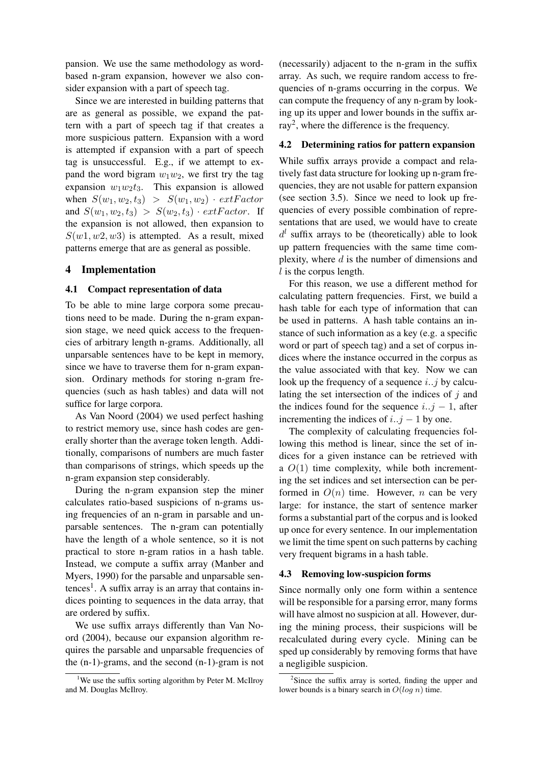pansion. We use the same methodology as wordbased n-gram expansion, however we also consider expansion with a part of speech tag.

Since we are interested in building patterns that are as general as possible, we expand the pattern with a part of speech tag if that creates a more suspicious pattern. Expansion with a word is attempted if expansion with a part of speech tag is unsuccessful. E.g., if we attempt to expand the word bigram  $w_1w_2$ , we first try the tag expansion  $w_1w_2t_3$ . This expansion is allowed when  $S(w_1, w_2, t_3) > S(w_1, w_2) \cdot extFactor$ and  $S(w_1, w_2, t_3) > S(w_2, t_3) \cdot extFactor$ . If the expansion is not allowed, then expansion to  $S(w1, w2, w3)$  is attempted. As a result, mixed patterns emerge that are as general as possible.

### 4 Implementation

#### 4.1 Compact representation of data

To be able to mine large corpora some precautions need to be made. During the n-gram expansion stage, we need quick access to the frequencies of arbitrary length n-grams. Additionally, all unparsable sentences have to be kept in memory, since we have to traverse them for n-gram expansion. Ordinary methods for storing n-gram frequencies (such as hash tables) and data will not suffice for large corpora.

As Van Noord (2004) we used perfect hashing to restrict memory use, since hash codes are generally shorter than the average token length. Additionally, comparisons of numbers are much faster than comparisons of strings, which speeds up the n-gram expansion step considerably.

During the n-gram expansion step the miner calculates ratio-based suspicions of n-grams using frequencies of an n-gram in parsable and unparsable sentences. The n-gram can potentially have the length of a whole sentence, so it is not practical to store n-gram ratios in a hash table. Instead, we compute a suffix array (Manber and Myers, 1990) for the parsable and unparsable sen $tences<sup>1</sup>$ . A suffix array is an array that contains indices pointing to sequences in the data array, that are ordered by suffix.

We use suffix arrays differently than Van Noord (2004), because our expansion algorithm requires the parsable and unparsable frequencies of the (n-1)-grams, and the second (n-1)-gram is not

(necessarily) adjacent to the n-gram in the suffix array. As such, we require random access to frequencies of n-grams occurring in the corpus. We can compute the frequency of any n-gram by looking up its upper and lower bounds in the suffix array<sup>2</sup>, where the difference is the frequency.

### 4.2 Determining ratios for pattern expansion

While suffix arrays provide a compact and relatively fast data structure for looking up n-gram frequencies, they are not usable for pattern expansion (see section 3.5). Since we need to look up frequencies of every possible combination of representations that are used, we would have to create  $d^{l}$  suffix arrays to be (theoretically) able to look up pattern frequencies with the same time complexity, where  $d$  is the number of dimensions and  $l$  is the corpus length.

For this reason, we use a different method for calculating pattern frequencies. First, we build a hash table for each type of information that can be used in patterns. A hash table contains an instance of such information as a key (e.g. a specific word or part of speech tag) and a set of corpus indices where the instance occurred in the corpus as the value associated with that key. Now we can look up the frequency of a sequence  $i$ ...j by calculating the set intersection of the indices of  $j$  and the indices found for the sequence  $i..j - 1$ , after incrementing the indices of  $i..j - 1$  by one.

The complexity of calculating frequencies following this method is linear, since the set of indices for a given instance can be retrieved with a  $O(1)$  time complexity, while both incrementing the set indices and set intersection can be performed in  $O(n)$  time. However, n can be very large: for instance, the start of sentence marker forms a substantial part of the corpus and is looked up once for every sentence. In our implementation we limit the time spent on such patterns by caching very frequent bigrams in a hash table.

#### 4.3 Removing low-suspicion forms

Since normally only one form within a sentence will be responsible for a parsing error, many forms will have almost no suspicion at all. However, during the mining process, their suspicions will be recalculated during every cycle. Mining can be sped up considerably by removing forms that have a negligible suspicion.

<sup>&</sup>lt;sup>1</sup>We use the suffix sorting algorithm by Peter M. McIlroy and M. Douglas McIlroy.

<sup>&</sup>lt;sup>2</sup>Since the suffix array is sorted, finding the upper and lower bounds is a binary search in  $O(log n)$  time.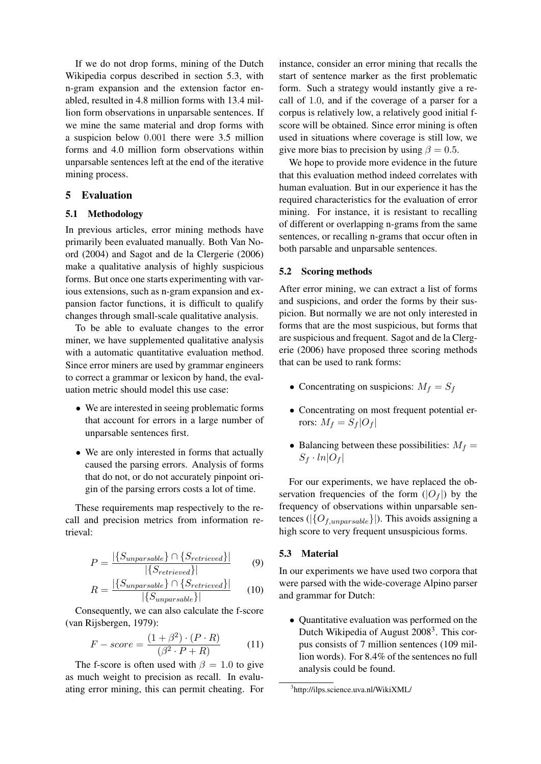If we do not drop forms, mining of the Dutch Wikipedia corpus described in section 5.3, with n-gram expansion and the extension factor enabled, resulted in 4.8 million forms with 13.4 million form observations in unparsable sentences. If we mine the same material and drop forms with a suspicion below 0.001 there were 3.5 million forms and 4.0 million form observations within unparsable sentences left at the end of the iterative mining process.

# 5 Evaluation

### 5.1 Methodology

In previous articles, error mining methods have primarily been evaluated manually. Both Van Noord (2004) and Sagot and de la Clergerie (2006) make a qualitative analysis of highly suspicious forms. But once one starts experimenting with various extensions, such as n-gram expansion and expansion factor functions, it is difficult to qualify changes through small-scale qualitative analysis.

To be able to evaluate changes to the error miner, we have supplemented qualitative analysis with a automatic quantitative evaluation method. Since error miners are used by grammar engineers to correct a grammar or lexicon by hand, the evaluation metric should model this use case:

- We are interested in seeing problematic forms that account for errors in a large number of unparsable sentences first.
- We are only interested in forms that actually caused the parsing errors. Analysis of forms that do not, or do not accurately pinpoint origin of the parsing errors costs a lot of time.

These requirements map respectively to the recall and precision metrics from information retrieval:

$$
P = \frac{|\{S_{unparse}\} \cap \{S_{retrieved}\}|}{|\{S_{retrieved}\}|} \tag{9}
$$

$$
R = \frac{|\{S_{unparse}\} \cap \{S_{retrieved}\}|}{|\{S_{unparse}\}|} \qquad (10)
$$

Consequently, we can also calculate the f-score (van Rijsbergen, 1979):

$$
F-score = \frac{(1+\beta^2) \cdot (P \cdot R)}{(\beta^2 \cdot P + R)} \tag{11}
$$

The f-score is often used with  $\beta = 1.0$  to give as much weight to precision as recall. In evaluating error mining, this can permit cheating. For

instance, consider an error mining that recalls the start of sentence marker as the first problematic form. Such a strategy would instantly give a recall of 1.0, and if the coverage of a parser for a corpus is relatively low, a relatively good initial fscore will be obtained. Since error mining is often used in situations where coverage is still low, we give more bias to precision by using  $\beta = 0.5$ .

We hope to provide more evidence in the future that this evaluation method indeed correlates with human evaluation. But in our experience it has the required characteristics for the evaluation of error mining. For instance, it is resistant to recalling of different or overlapping n-grams from the same sentences, or recalling n-grams that occur often in both parsable and unparsable sentences.

#### 5.2 Scoring methods

After error mining, we can extract a list of forms and suspicions, and order the forms by their suspicion. But normally we are not only interested in forms that are the most suspicious, but forms that are suspicious and frequent. Sagot and de la Clergerie (2006) have proposed three scoring methods that can be used to rank forms:

- Concentrating on suspicions:  $M_f = S_f$
- Concentrating on most frequent potential errors:  $M_f = S_f |O_f|$
- Balancing between these possibilities:  $M_f =$  $S_f \cdot ln|O_f|$

For our experiments, we have replaced the observation frequencies of the form  $(|O_f|)$  by the frequency of observations within unparsable sentences ( $|\{O_{f,unparse}}\|$ ). This avoids assigning a high score to very frequent unsuspicious forms.

### 5.3 Material

In our experiments we have used two corpora that were parsed with the wide-coverage Alpino parser and grammar for Dutch:

• Quantitative evaluation was performed on the Dutch Wikipedia of August 2008<sup>3</sup>. This corpus consists of 7 million sentences (109 million words). For 8.4% of the sentences no full analysis could be found.

<sup>3</sup> http://ilps.science.uva.nl/WikiXML/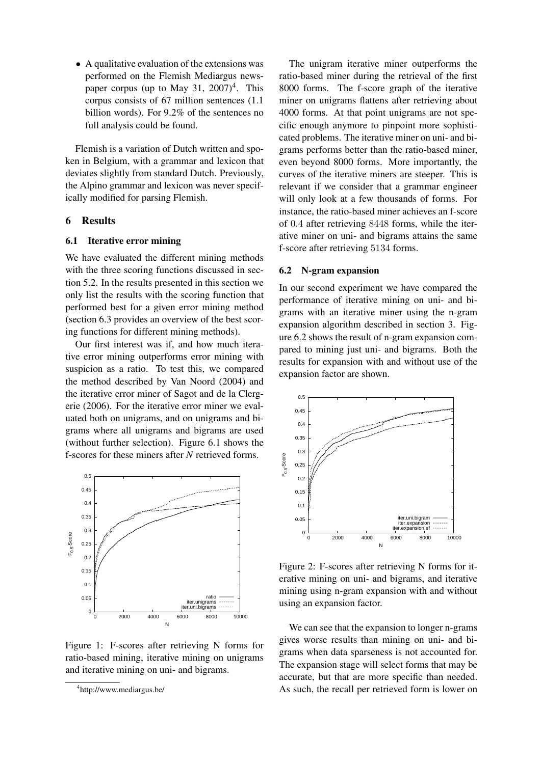• A qualitative evaluation of the extensions was performed on the Flemish Mediargus newspaper corpus (up to May 31,  $2007)^4$ . This corpus consists of 67 million sentences (1.1 billion words). For 9.2% of the sentences no full analysis could be found.

Flemish is a variation of Dutch written and spoken in Belgium, with a grammar and lexicon that deviates slightly from standard Dutch. Previously, the Alpino grammar and lexicon was never specifically modified for parsing Flemish.

### 6 Results

#### 6.1 Iterative error mining

We have evaluated the different mining methods with the three scoring functions discussed in section 5.2. In the results presented in this section we only list the results with the scoring function that performed best for a given error mining method (section 6.3 provides an overview of the best scoring functions for different mining methods).

Our first interest was if, and how much iterative error mining outperforms error mining with suspicion as a ratio. To test this, we compared the method described by Van Noord (2004) and the iterative error miner of Sagot and de la Clergerie (2006). For the iterative error miner we evaluated both on unigrams, and on unigrams and bigrams where all unigrams and bigrams are used (without further selection). Figure 6.1 shows the f-scores for these miners after *N* retrieved forms.



Figure 1: F-scores after retrieving N forms for ratio-based mining, iterative mining on unigrams and iterative mining on uni- and bigrams.

The unigram iterative miner outperforms the ratio-based miner during the retrieval of the first 8000 forms. The f-score graph of the iterative miner on unigrams flattens after retrieving about 4000 forms. At that point unigrams are not specific enough anymore to pinpoint more sophisticated problems. The iterative miner on uni- and bigrams performs better than the ratio-based miner, even beyond 8000 forms. More importantly, the curves of the iterative miners are steeper. This is relevant if we consider that a grammar engineer will only look at a few thousands of forms. For instance, the ratio-based miner achieves an f-score of 0.4 after retrieving 8448 forms, while the iterative miner on uni- and bigrams attains the same f-score after retrieving 5134 forms.

#### 6.2 N-gram expansion

In our second experiment we have compared the performance of iterative mining on uni- and bigrams with an iterative miner using the n-gram expansion algorithm described in section 3. Figure 6.2 shows the result of n-gram expansion compared to mining just uni- and bigrams. Both the results for expansion with and without use of the expansion factor are shown.



Figure 2: F-scores after retrieving N forms for iterative mining on uni- and bigrams, and iterative mining using n-gram expansion with and without using an expansion factor.

We can see that the expansion to longer n-grams gives worse results than mining on uni- and bigrams when data sparseness is not accounted for. The expansion stage will select forms that may be accurate, but that are more specific than needed. As such, the recall per retrieved form is lower on

<sup>4</sup> http://www.mediargus.be/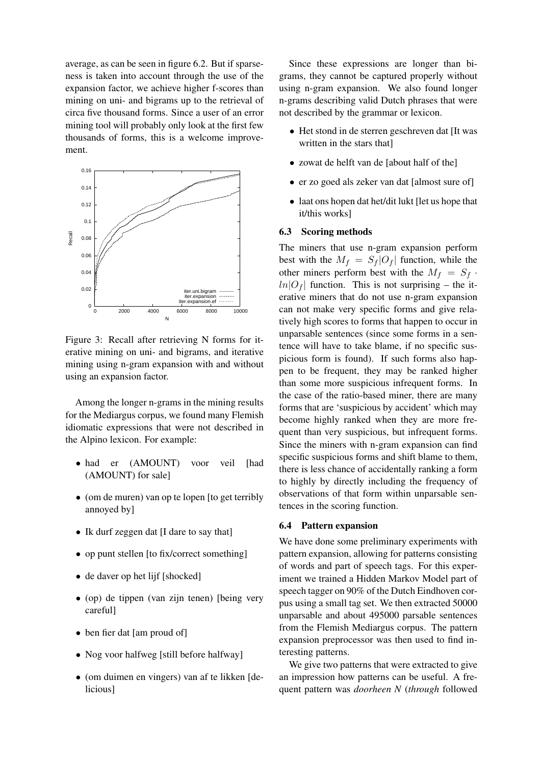average, as can be seen in figure 6.2. But if sparseness is taken into account through the use of the expansion factor, we achieve higher f-scores than mining on uni- and bigrams up to the retrieval of circa five thousand forms. Since a user of an error mining tool will probably only look at the first few thousands of forms, this is a welcome improvement.



Figure 3: Recall after retrieving N forms for iterative mining on uni- and bigrams, and iterative mining using n-gram expansion with and without using an expansion factor.

Among the longer n-grams in the mining results for the Mediargus corpus, we found many Flemish idiomatic expressions that were not described in the Alpino lexicon. For example:

- had er (AMOUNT) voor veil [had (AMOUNT) for sale]
- (om de muren) van op te lopen [to get terribly annoyed by]
- Ik durf zeggen dat II dare to say that
- op punt stellen [to fix/correct something]
- de daver op het lijf [shocked]
- (op) de tippen (van zijn tenen) [being very careful]
- ben fier dat [am proud of]
- Nog voor halfweg [still before halfway]
- (om duimen en vingers) van af te likken [delicious]

Since these expressions are longer than bigrams, they cannot be captured properly without using n-gram expansion. We also found longer n-grams describing valid Dutch phrases that were not described by the grammar or lexicon.

- Het stond in de sterren geschreven dat [It was written in the stars that]
- zowat de helft van de [about half of the]
- er zo goed als zeker van dat [almost sure of]
- laat ons hopen dat het/dit lukt [let us hope that it/this works]

### 6.3 Scoring methods

The miners that use n-gram expansion perform best with the  $M_f = S_f |O_f|$  function, while the other miners perform best with the  $M_f = S_f$ .  $ln|O_f|$  function. This is not surprising – the iterative miners that do not use n-gram expansion can not make very specific forms and give relatively high scores to forms that happen to occur in unparsable sentences (since some forms in a sentence will have to take blame, if no specific suspicious form is found). If such forms also happen to be frequent, they may be ranked higher than some more suspicious infrequent forms. In the case of the ratio-based miner, there are many forms that are 'suspicious by accident' which may become highly ranked when they are more frequent than very suspicious, but infrequent forms. Since the miners with n-gram expansion can find specific suspicious forms and shift blame to them, there is less chance of accidentally ranking a form to highly by directly including the frequency of observations of that form within unparsable sentences in the scoring function.

#### 6.4 Pattern expansion

We have done some preliminary experiments with pattern expansion, allowing for patterns consisting of words and part of speech tags. For this experiment we trained a Hidden Markov Model part of speech tagger on 90% of the Dutch Eindhoven corpus using a small tag set. We then extracted 50000 unparsable and about 495000 parsable sentences from the Flemish Mediargus corpus. The pattern expansion preprocessor was then used to find interesting patterns.

We give two patterns that were extracted to give an impression how patterns can be useful. A frequent pattern was *doorheen N* (*through* followed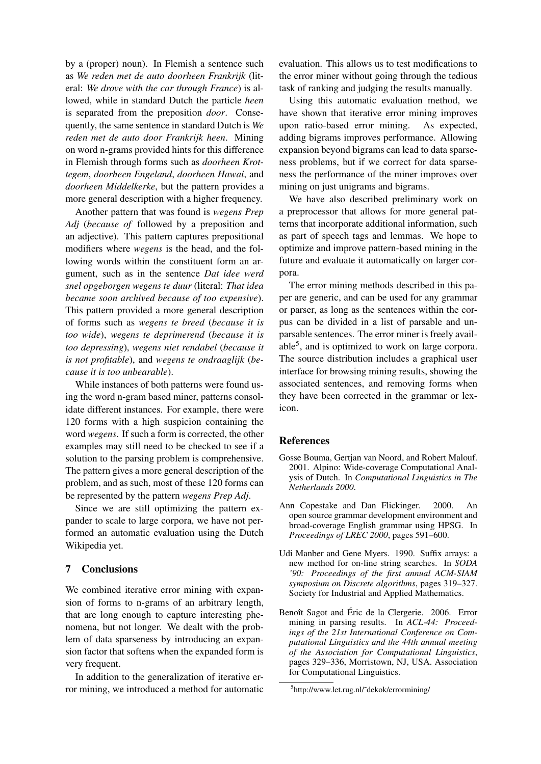by a (proper) noun). In Flemish a sentence such as *We reden met de auto doorheen Frankrijk* (literal: *We drove with the car through France*) is allowed, while in standard Dutch the particle *heen* is separated from the preposition *door*. Consequently, the same sentence in standard Dutch is *We reden met de auto door Frankrijk heen*. Mining on word n-grams provided hints for this difference in Flemish through forms such as *doorheen Krottegem*, *doorheen Engeland*, *doorheen Hawai*, and *doorheen Middelkerke*, but the pattern provides a more general description with a higher frequency.

Another pattern that was found is *wegens Prep Adj* (*because of* followed by a preposition and an adjective). This pattern captures prepositional modifiers where *wegens* is the head, and the following words within the constituent form an argument, such as in the sentence *Dat idee werd snel opgeborgen wegens te duur* (literal: *That idea became soon archived because of too expensive*). This pattern provided a more general description of forms such as *wegens te breed* (*because it is too wide*), *wegens te deprimerend* (*because it is too depressing*), *wegens niet rendabel* (*because it is not profitable*), and *wegens te ondraaglijk* (*because it is too unbearable*).

While instances of both patterns were found using the word n-gram based miner, patterns consolidate different instances. For example, there were 120 forms with a high suspicion containing the word *wegens*. If such a form is corrected, the other examples may still need to be checked to see if a solution to the parsing problem is comprehensive. The pattern gives a more general description of the problem, and as such, most of these 120 forms can be represented by the pattern *wegens Prep Adj*.

Since we are still optimizing the pattern expander to scale to large corpora, we have not performed an automatic evaluation using the Dutch Wikipedia yet.

### 7 Conclusions

We combined iterative error mining with expansion of forms to n-grams of an arbitrary length, that are long enough to capture interesting phenomena, but not longer. We dealt with the problem of data sparseness by introducing an expansion factor that softens when the expanded form is very frequent.

In addition to the generalization of iterative error mining, we introduced a method for automatic evaluation. This allows us to test modifications to the error miner without going through the tedious task of ranking and judging the results manually.

Using this automatic evaluation method, we have shown that iterative error mining improves upon ratio-based error mining. As expected, adding bigrams improves performance. Allowing expansion beyond bigrams can lead to data sparseness problems, but if we correct for data sparseness the performance of the miner improves over mining on just unigrams and bigrams.

We have also described preliminary work on a preprocessor that allows for more general patterns that incorporate additional information, such as part of speech tags and lemmas. We hope to optimize and improve pattern-based mining in the future and evaluate it automatically on larger corpora.

The error mining methods described in this paper are generic, and can be used for any grammar or parser, as long as the sentences within the corpus can be divided in a list of parsable and unparsable sentences. The error miner is freely available<sup>5</sup>, and is optimized to work on large corpora. The source distribution includes a graphical user interface for browsing mining results, showing the associated sentences, and removing forms when they have been corrected in the grammar or lexicon.

# References

- Gosse Bouma, Gertjan van Noord, and Robert Malouf. 2001. Alpino: Wide-coverage Computational Analysis of Dutch. In *Computational Linguistics in The Netherlands 2000*.
- Ann Copestake and Dan Flickinger. 2000. An open source grammar development environment and broad-coverage English grammar using HPSG. In *Proceedings of LREC 2000*, pages 591–600.
- Udi Manber and Gene Myers. 1990. Suffix arrays: a new method for on-line string searches. In *SODA '90: Proceedings of the first annual ACM-SIAM symposium on Discrete algorithms*, pages 319–327. Society for Industrial and Applied Mathematics.
- Benoît Sagot and Éric de la Clergerie. 2006. Error mining in parsing results. In *ACL-44: Proceedings of the 21st International Conference on Computational Linguistics and the 44th annual meeting of the Association for Computational Linguistics*, pages 329–336, Morristown, NJ, USA. Association for Computational Linguistics.

<sup>5</sup> http://www.let.rug.nl/˜dekok/errormining/